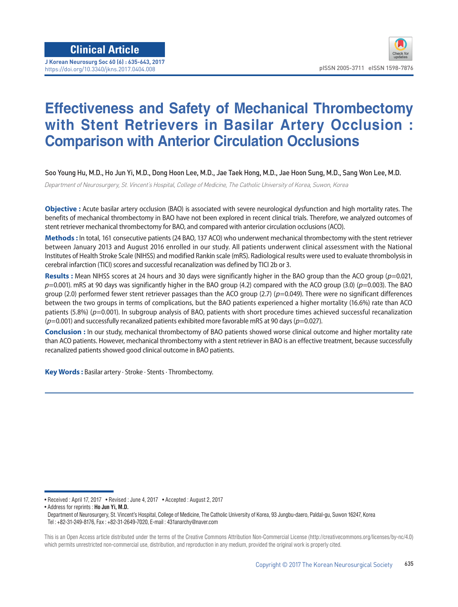**J Korean Neurosurg Soc 60 (6) : 635-643, 2017** https://doi.org/10.3340/jkns.2017.0404.008 **pISSN 2005-3711 eISSN 1598-7876** 

# **Effectiveness and Safety of Mechanical Thrombectomy with Stent Retrievers in Basilar Artery Occlusion : Comparison with Anterior Circulation Occlusions**

Soo Young Hu, M.D., Ho Jun Yi, M.D., Dong Hoon Lee, M.D., Jae Taek Hong, M.D., Jae Hoon Sung, M.D., Sang Won Lee, M.D.

Department of Neurosurgery, St. Vincent's Hospital, College of Medicine, The Catholic University of Korea, Suwon, Korea

**Objective :** Acute basilar artery occlusion (BAO) is associated with severe neurological dysfunction and high mortality rates. The benefits of mechanical thrombectomy in BAO have not been explored in recent clinical trials. Therefore, we analyzed outcomes of stent retriever mechanical thrombectomy for BAO, and compared with anterior circulation occlusions (ACO).

**Methods :** In total, 161 consecutive patients (24 BAO, 137 ACO) who underwent mechanical thrombectomy with the stent retriever between January 2013 and August 2016 enrolled in our study. All patients underwent clinical assessment with the National Institutes of Health Stroke Scale (NIHSS) and modified Rankin scale (mRS). Radiological results were used to evaluate thrombolysis in cerebral infarction (TICI) scores and successful recanalization was defined by TICI 2b or 3.

**Results :** Mean NIHSS scores at 24 hours and 30 days were significantly higher in the BAO group than the ACO group (*p*=0.021, *p*=0.001). mRS at 90 days was significantly higher in the BAO group (4.2) compared with the ACO group (3.0) (*p*=0.003). The BAO group (2.0) performed fewer stent retriever passages than the ACO group (2.7) (*p*=0.049). There were no significant differences between the two groups in terms of complications, but the BAO patients experienced a higher mortality (16.6%) rate than ACO patients (5.8%) ( $p=0.001$ ). In subgroup analysis of BAO, patients with short procedure times achieved successful recanalization (*p*=0.001) and successfully recanalized patients exhibited more favorable mRS at 90 days (*p*=0.027).

**Conclusion :** In our study, mechanical thrombectomy of BAO patients showed worse clinical outcome and higher mortality rate than ACO patients. However, mechanical thrombectomy with a stent retriever in BAO is an effective treatment, because successfully recanalized patients showed good clinical outcome in BAO patients.

**Key Words :** Basilar artery · Stroke · Stents · Thrombectomy.

• Address for reprints : **Ho Jun Yi, M.D.**

<sup>•</sup> Received : April 17, 2017 • Revised : June 4, 2017 • Accepted : August 2, 2017

Department of Neurosurgery, St. Vincent's Hospital, College of Medicine, The Catholic University of Korea, 93 Jungbu-daero, Paldal-gu, Suwon 16247, Korea Tel : +82-31-249-8176, Fax : +82-31-2649-7020, E-mail : 431anarchy@naver.com

This is an Open Access article distributed under the terms of the Creative Commons Attribution Non-Commercial License (http://creativecommons.org/licenses/by-nc/4.0) which permits unrestricted non-commercial use, distribution, and reproduction in any medium, provided the original work is properly cited.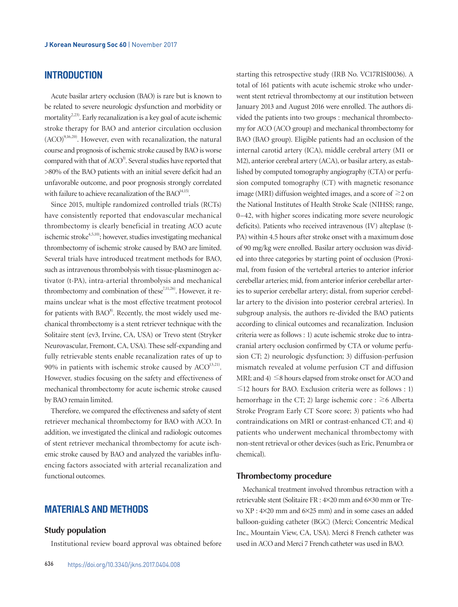# **INTRODUCTION**

Acute basilar artery occlusion (BAO) is rare but is known to be related to severe neurologic dysfunction and morbidity or mortality<sup>2,23)</sup>. Early recanalization is a key goal of acute ischemic stroke therapy for BAO and anterior circulation occlusion  $(ACO)^{9,16,20}$ . However, even with recanalization, the natural course and prognosis of ischemic stroke caused by BAO is worse compared with that of  $ACO<sup>3</sup>$ . Several studies have reported that >80% of the BAO patients with an initial severe deficit had an unfavorable outcome, and poor prognosis strongly correlated with failure to achieve recanalization of the  $BAO<sup>14,15</sup>$ .

Since 2015, multiple randomized controlled trials (RCTs) have consistently reported that endovascular mechanical thrombectomy is clearly beneficial in treating ACO acute ischemic stroke<sup>4,5,10</sup>; however, studies investigating mechanical thrombectomy of ischemic stroke caused by BAO are limited. Several trials have introduced treatment methods for BAO, such as intravenous thrombolysis with tissue-plasminogen activator (t-PA), intra-arterial thrombolysis and mechanical thrombectomy and combination of these<sup>7,11,26)</sup>. However, it remains unclear what is the most effective treatment protocol for patients with  $BAO^{8}$ . Recently, the most widely used mechanical thrombectomy is a stent retriever technique with the Solitaire stent (ev3, Irvine, CA, USA) or Trevo stent (Stryker Neurovascular, Fremont, CA, USA). These self-expanding and fully retrievable stents enable recanalization rates of up to 90% in patients with ischemic stroke caused by  $ACO<sup>13,21</sup>$ . However, studies focusing on the safety and effectiveness of mechanical thrombectomy for acute ischemic stroke caused by BAO remain limited.

Therefore, we compared the effectiveness and safety of stent retriever mechanical thrombectomy for BAO with ACO. In addition, we investigated the clinical and radiologic outcomes of stent retriever mechanical thrombectomy for acute ischemic stroke caused by BAO and analyzed the variables influencing factors associated with arterial recanalization and functional outcomes.

# **MATERIALS AND METHODS**

#### **Study population**

Institutional review board approval was obtained before

starting this retrospective study (IRB No. VC17RISI0036). A total of 161 patients with acute ischemic stroke who underwent stent retrieval thrombectomy at our institution between January 2013 and August 2016 were enrolled. The authors divided the patients into two groups : mechanical thrombectomy for ACO (ACO group) and mechanical thrombectomy for BAO (BAO group). Eligible patients had an occlusion of the internal carotid artery (ICA), middle cerebral artery (M1 or M2), anterior cerebral artery (ACA), or basilar artery, as established by computed tomography angiography (CTA) or perfusion computed tomography (CT) with magnetic resonance image (MRI) diffusion weighted images, and a score of  $\geq$  2 on the National Institutes of Health Stroke Scale (NIHSS; range, 0–42, with higher scores indicating more severe neurologic deficits). Patients who received intravenous (IV) alteplase (t-PA) within 4.5 hours after stroke onset with a maximum dose of 90 mg/kg were enrolled. Basilar artery occlusion was divided into three categories by starting point of occlusion (Proximal, from fusion of the vertebral arteries to anterior inferior cerebellar arteries; mid, from anterior inferior cerebellar arteries to superior cerebellar artery; distal, from superior cerebellar artery to the division into posterior cerebral arteries). In subgroup analysis, the authors re-divided the BAO patients according to clinical outcomes and recanalization. Inclusion criteria were as follows : 1) acute ischemic stroke due to intracranial artery occlusion confirmed by CTA or volume perfusion CT; 2) neurologic dysfunction; 3) diffusion-perfusion mismatch revealed at volume perfusion CT and diffusion MRI; and  $4$ )  $\leq$ 8 hours elapsed from stroke onset for ACO and  $\leq$ 12 hours for BAO. Exclusion criteria were as follows : 1) hemorrhage in the CT; 2) large ischemic core :  $\geq 6$  Alberta Stroke Program Early CT Score score; 3) patients who had contraindications on MRI or contrast-enhanced CT; and 4) patients who underwent mechanical thrombectomy with non-stent retrieval or other devices (such as Eric, Penumbra or chemical).

#### **Thrombectomy procedure**

Mechanical treatment involved thrombus retraction with a retrievable stent (Solitaire FR : 4×20 mm and 6×30 mm or Trevo XP : 4×20 mm and 6×25 mm) and in some cases an added balloon-guiding catheter (BGC) (Merci; Concentric Medical Inc., Mountain View, CA, USA). Merci 8 French catheter was used in ACO and Merci 7 French catheter was used in BAO.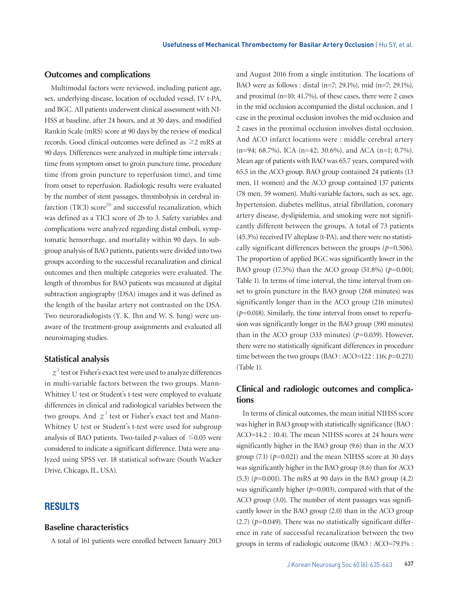#### **Outcomes and complications**

Multimodal factors were reviewed, including patient age, sex, underlying disease, location of occluded vessel, IV t-PA, and BGC. All patients underwent clinical assessment with NI-HSS at baseline, after 24 hours, and at 30 days, and modified Rankin Scale (mRS) score at 90 days by the review of medical records. Good clinical outcomes were defined as ≥2 mRS at 90 days. Differences were analyzed in multiple time intervals : time from symptom onset to groin puncture time, procedure time (from groin puncture to reperfusion time), and time from onset to reperfusion. Radiologic results were evaluated by the number of stent passages, thrombolysis in cerebral infarction (TICI) score<sup>25)</sup> and successful recanalization, which was defined as a TICI score of 2b to 3. Safety variables and complications were analyzed regarding distal emboli, symptomatic hemorrhage, and mortality within 90 days. In subgroup analysis of BAO patients, patients were divided into two groups according to the successful recanalization and clinical outcomes and then multiple categories were evaluated. The length of thrombus for BAO patients was measured at digital subtraction angiography (DSA) images and it was defined as the length of the basilar artery not contrasted on the DSA. Two neuroradiologists (Y. K. Ihn and W. S. Jung) were unaware of the treatment-group assignments and evaluated all neuroimaging studies.

### **Statistical analysis**

 $\chi^2$  test or Fisher's exact test were used to analyze differences in multi-variable factors between the two groups. Mann-Whitney U test or Student's t-test were employed to evaluate differences in clinical and radiological variables between the two groups. And  $\chi^2$  test or Fisher's exact test and Mann-Whitney U test or Student's t-test were used for subgroup analysis of BAO patients. Two-tailed  $p$ -values of  $\leq 0.05$  were considered to indicate a significant difference. Data were analyzed using SPSS ver. 18 statistical software (South Wacker Drive, Chicago, IL, USA).

## **RESULTS**

#### **Baseline characteristics**

A total of 161 patients were enrolled between January 2013

and August 2016 from a single institution. The locations of BAO were as follows : distal (n=7; 29.1%), mid (n=7; 29.1%), and proximal (n=10; 41.7%), of these cases, there were 2 cases in the mid occlusion accompanied the distal occlusion, and 1 case in the proximal occlusion involves the mid occlusion and 2 cases in the proximal occlusion involves distal occlusion. And ACO infarct locations were : middle cerebral artery (n=94; 68.7%), ICA (n=42; 30.6%), and ACA (n=1; 0.7%). Mean age of patients with BAO was 65.7 years, compared with 65.5 in the ACO group. BAO group contained 24 patients (13 men, 11 women) and the ACO group contained 137 patients (78 men, 59 women). Multi-variable factors, such as sex, age, hypertension, diabetes mellitus, atrial fibrillation, coronary artery disease, dyslipidemia, and smoking were not significantly different between the groups. A total of 73 patients (45.3%) received IV alteplase (t-PA), and there were no statistically significant differences between the groups  $(p=0.506)$ . The proportion of applied BGC was significantly lower in the BAO group (17.5%) than the ACO group (51.8%) (*p*=0.001; Table 1). In terms of time interval, the time interval from onset to groin puncture in the BAO group (268 minutes) was significantly longer than in the ACO group (216 minutes)  $(p=0.018)$ . Similarly, the time interval from onset to reperfusion was significantly longer in the BAO group (390 minutes) than in the ACO group (333 minutes)  $(p=0.039)$ . However, there were no statistically significant differences in procedure time between the two groups (BAO : ACO=122 : 116;  $p=0.271$ ) (Table 1).

## **Clinical and radiologic outcomes and complications**

In terms of clinical outcomes, the mean initial NIHSS score was higher in BAO group with statistically significance (BAO : ACO=14.2 : 10.4). The mean NIHSS scores at 24 hours were significantly higher in the BAO group (9.6) than in the ACO group  $(7.1)$   $(p=0.021)$  and the mean NIHSS score at 30 days was significantly higher in the BAO group (8.6) than for ACO (5.3) (*p*=0.001). The mRS at 90 days in the BAO group (4.2) was significantly higher  $(p=0.003)$ , compared with that of the ACO group (3.0). The number of stent passages was significantly lower in the BAO group (2.0) than in the ACO group  $(2.7)$  ( $p=0.049$ ). There was no statistically significant difference in rate of successful recanalization between the two groups in terms of radiologic outcome (BAO : ACO=79.1% :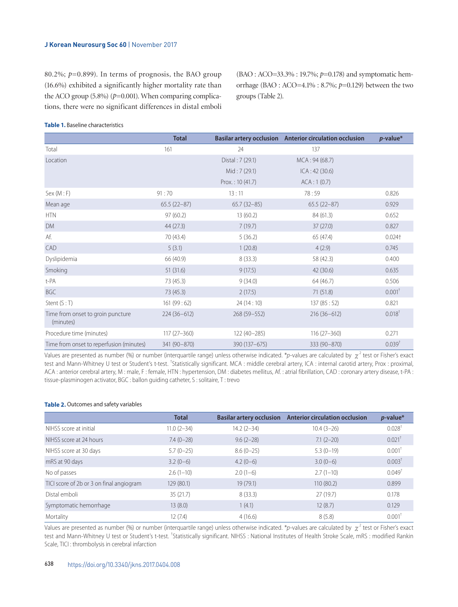#### **J Korean Neurosurg Soc 60** | November 2017

80.2%;  $p=0.899$ ). In terms of prognosis, the BAO group (16.6%) exhibited a significantly higher mortality rate than the ACO group  $(5.8\%)$  ( $p=0.001$ ). When comparing complications, there were no significant differences in distal emboli (BAO : ACO=33.3% : 19.7%; *p*=0.178) and symptomatic hemorrhage (BAO : ACO=4.1% : 8.7%; *p*=0.129) between the two groups (Table 2).

#### **Table 1.** Baseline characteristics

|                                                | <b>Total</b>    |                  | Basilar artery occlusion Anterior circulation occlusion | $p$ -value*        |
|------------------------------------------------|-----------------|------------------|---------------------------------------------------------|--------------------|
| Total                                          | 161             | 24               | 137                                                     |                    |
| Location                                       |                 | Distal: 7 (29.1) | MCA: 94 (68.7)                                          |                    |
|                                                |                 | Mid: $7(29.1)$   | ICA: 42 (30.6)                                          |                    |
|                                                |                 | Prox: 10(41.7)   | ACA:1(0.7)                                              |                    |
| Sex (M : F)                                    | 91:70           | 13:11            | 78:59                                                   | 0.826              |
| Mean age                                       | $65.5(22-87)$   | $65.7(32-85)$    | $65.5(22-87)$                                           | 0.929              |
| <b>HTN</b>                                     | 97(60.2)        | 13(60.2)         | 84 (61.3)                                               | 0.652              |
| <b>DM</b>                                      | 44(27.3)        | 7(19.7)          | 37(27.0)                                                | 0.827              |
| Af.                                            | 70 (43.4)       | 5(36.2)          | 65 (47.4)                                               | $0.024 +$          |
| CAD                                            | 5(3.1)          | 1(20.8)          | 4(2.9)                                                  | 0.745              |
| Dyslipidemia                                   | 66 (40.9)       | 8(33.3)          | 58 (42.3)                                               | 0.400              |
| Smoking                                        | 51(31.6)        | 9(17.5)          | 42 (30.6)                                               | 0.635              |
| t-PA                                           | 73 (45.3)       | 9(34.0)          | 64 (46.7)                                               | 0.506              |
| <b>BGC</b>                                     | 73 (45.3)       | 2(17.5)          | 71(51.8)                                                | 0.001 <sup>†</sup> |
| Stent $(S:T)$                                  | 161(99:62)      | 24(14:10)        | 137(85:52)                                              | 0.821              |
| Time from onset to groin puncture<br>(minutes) | $224(36-612)$   | $268(59 - 552)$  | $216(36-612)$                                           | 0.018 <sup>†</sup> |
| Procedure time (minutes)                       | $117(27 - 360)$ | 122 (40-285)     | $116(27 - 360)$                                         | 0.271              |
| Time from onset to reperfusion (minutes)       | 341 (90-870)    | 390 (137 - 675)  | 333 (90-870)                                            | 0.039 <sup>†</sup> |

Values are presented as number (%) or number (interquartile range) unless otherwise indicated. \**p*-values are calculated by  $\chi^2$  test or Fisher's exact test and Mann-Whitney U test or Student's t-test. <sup>†</sup>Statistically significant. MCA : middle cerebral artery, ICA : internal carotid artery, Prox : proximal, ACA : anterior cerebral artery, M : male, F : female, HTN : hypertension, DM : diabetes mellitus, Af. : atrial fibrillation, CAD : coronary artery disease, t-PA : tissue-plasminogen activator, BGC : ballon guiding catheter, S : solitaire, T : trevo

#### **Table 2.** Outcomes and safety variables

|                                          | <b>Total</b>   |                | Basilar artery occlusion Anterior circulation occlusion | $p$ -value*          |
|------------------------------------------|----------------|----------------|---------------------------------------------------------|----------------------|
| NIHSS score at initial                   | $11.0(2 - 34)$ | $14.2(2 - 34)$ | $10.4(3-26)$                                            | $0.028$ <sup>†</sup> |
| NIHSS score at 24 hours                  | $7.4(0-28)$    | $9.6(2-28)$    | $7.1(2-20)$                                             | $0.021$ <sup>+</sup> |
| NIHSS score at 30 days                   | $5.7(0-25)$    | $8.6(0-25)$    | $5.3(0-19)$                                             | $0.001$ <sup>+</sup> |
| mRS at 90 days                           | $3.2(0-6)$     | $4.2(0-6)$     | $3.0(0-6)$                                              | 0.003 <sup>†</sup>   |
| No of passes                             | $2.6(1-10)$    | $2.0(1-6)$     | $2.7(1-10)$                                             | $0.049^{\dagger}$    |
| TICI score of 2b or 3 on final angiogram | 129 (80.1)     | 19(79.1)       | 110(80.2)                                               | 0.899                |
| Distal emboli                            | 35(21.7)       | 8(33.3)        | 27(19.7)                                                | 0.178                |
| Symptomatic hemorrhage                   | 13(8.0)        | 1(4.1)         | 12(8.7)                                                 | 0.129                |
| Mortality                                | 12(7.4)        | 4(16.6)        | 8(5.8)                                                  | $0.001$ <sup>1</sup> |

Values are presented as number (%) or number (interquartile range) unless otherwise indicated. \**p*-values are calculated by  $\chi^2$  test or Fisher's exact test and Mann-Whitney U test or Student's t-test. <sup>†</sup>Statistically significant. NIHSS : National Institutes of Health Stroke Scale, mRS : modified Rankin Scale, TICI : thrombolysis in cerebral infarction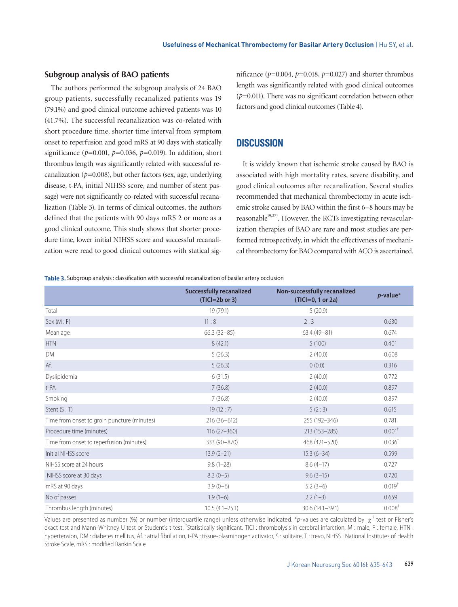#### **Subgroup analysis of BAO patients**

The authors performed the subgroup analysis of 24 BAO group patients, successfully recanalized patients was 19 (79.1%) and good clinical outcome achieved patients was 10 (41.7%). The successful recanalization was co-related with short procedure time, shorter time interval from symptom onset to reperfusion and good mRS at 90 days with statically significance (*p*=0.001, *p*=0.036, *p*=0.019). In addition, short thrombus length was significantly related with successful recanalization ( $p=0.008$ ), but other factors (sex, age, underlying disease, t-PA, initial NIHSS score, and number of stent passage) were not significantly co-related with successful recanalization (Table 3). In terms of clinical outcomes, the authors defined that the patients with 90 days mRS 2 or more as a good clinical outcome. This study shows that shorter procedure time, lower initial NIHSS score and successful recanalization were read to good clinical outcomes with statical significance  $(p=0.004, p=0.018, p=0.027)$  and shorter thrombus length was significantly related with good clinical outcomes (*p*=0.011). There was no significant correlation between other factors and good clinical outcomes (Table 4).

# **DISCUSSION**

It is widely known that ischemic stroke caused by BAO is associated with high mortality rates, severe disability, and good clinical outcomes after recanalization. Several studies recommended that mechanical thrombectomy in acute ischemic stroke caused by BAO within the first 6–8 hours may be reasonable $19,27$ . However, the RCTs investigating revascularization therapies of BAO are rare and most studies are performed retrospectively, in which the effectiveness of mechanical thrombectomy for BAO compared with ACO is ascertained.

**Table 3.** Subgroup analysis: classification with successful recanalization of basilar artery occlusion

|                                             | <b>Successfully recanalized</b><br>$(TICI=2b$ or 3) | Non-successfully recanalized<br>(TICI=0, 1 or 2a) | $p$ -value*        |  |
|---------------------------------------------|-----------------------------------------------------|---------------------------------------------------|--------------------|--|
| Total                                       | 19 (79.1)                                           | 5(20.9)                                           |                    |  |
| Sex (M : F)                                 | 11:8                                                | 2:3                                               | 0.630              |  |
| Mean age                                    | $66.3(32-85)$                                       | $63.4(49-81)$                                     | 0.674              |  |
| $\ensuremath{\mathsf{HTN}}$                 | 8(42.1)                                             | 5(100)                                            | 0.401              |  |
| DM                                          | 5(26.3)                                             | 2(40.0)                                           | 0.608              |  |
| Af.                                         | 5(26.3)                                             | 0(0.0)                                            | 0.316              |  |
| Dyslipidemia                                | 6(31.5)                                             | 2(40.0)                                           | 0.772              |  |
| t-PA                                        | 7(36.8)                                             | 2(40.0)                                           | 0.897              |  |
| Smoking                                     | 7(36.8)                                             | 2(40.0)                                           | 0.897              |  |
| Stent $(S:T)$                               | 19(12:7)                                            | 5(2:3)                                            | 0.615              |  |
| Time from onset to groin puncture (minutes) | $216(36-612)$                                       | 255 (192-346)                                     | 0.781              |  |
| Procedure time (minutes)                    | $116(27 - 360)$                                     | 213 (153-285)                                     | $0.001^+$          |  |
| Time from onset to reperfusion (minutes)    | 333 (90-870)                                        | 468 (421-520)                                     | $0.036^{\dagger}$  |  |
| Initial NIHSS score                         | $13.9(2-21)$                                        | $15.3(6-34)$                                      | 0.599              |  |
| NIHSS score at 24 hours                     | $9.8(1 - 28)$                                       | $8.6(4-17)$                                       | 0.727              |  |
| NIHSS score at 30 days                      | $8.3(0-5)$                                          | $9.6(3-15)$                                       | 0.720              |  |
| mRS at 90 days                              | $3.9(0-6)$                                          | $5.2(3-6)$                                        | $0.019^{+}$        |  |
| No of passes                                | $1.9(1-6)$                                          | $2.2(1-3)$                                        | 0.659              |  |
| Thrombus length (minutes)                   | $10.5(4.1 - 25.1)$                                  | 30.6 (14.1-39.1)                                  | 0.008 <sup>†</sup> |  |

Values are presented as number (%) or number (interquartile range) unless otherwise indicated. \**p*-values are calculated by  $\chi^2$  test or Fisher's exact test and Mann-Whitney U test or Student's t-test. <sup>†</sup>Statistically significant. TICI : thrombolysis in cerebral infarction, M : male, F : female, HTN : hypertension, DM : diabetes mellitus, Af. : atrial fibrillation, t-PA : tissue-plasminogen activator, S : solitaire, T : trevo, NIHSS : National Institutes of Health Stroke Scale, mRS : modified Rankin Scale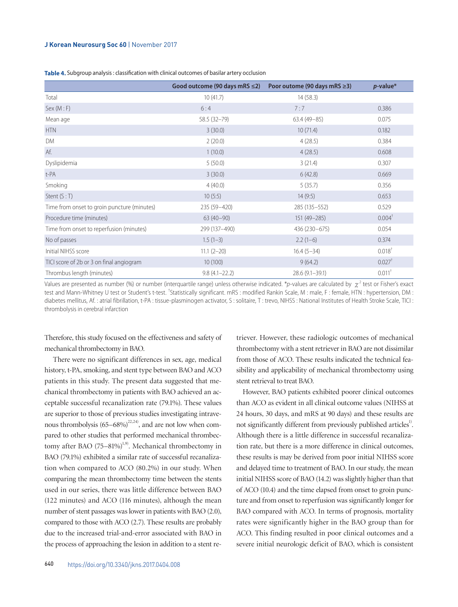#### **J Korean Neurosurg Soc 60** | November 2017

| Table 4. Subgroup analysis: classification with clinical outcomes of basilar artery occlusion |  |  |
|-----------------------------------------------------------------------------------------------|--|--|
|-----------------------------------------------------------------------------------------------|--|--|

|                                             | Good outcome (90 days mRS $\leq$ 2) | Poor outome (90 days mRS ≥3) | $p$ -value*          |
|---------------------------------------------|-------------------------------------|------------------------------|----------------------|
| Total                                       | 10(41.7)                            | 14(58.3)                     |                      |
| Sex (M : F)                                 | 6:4                                 | 7:7                          | 0.386                |
| Mean age                                    | 58.5 (32-79)                        | $63.4(49-85)$                | 0.075                |
| <b>HTN</b>                                  | 3(30.0)                             | 10(71.4)                     | 0.182                |
| DM                                          | 2(20.0)                             | 4(28.5)                      | 0.384                |
| Af.                                         | 1(10.0)                             | 4(28.5)                      | 0.608                |
| Dyslipidemia                                | 5(50.0)                             | 3(21.4)                      | 0.307                |
| t-PA                                        | 3(30.0)                             | 6(42.8)                      | 0.669                |
| Smoking                                     | 4(40.0)                             | 5(35.7)                      | 0.356                |
| Stent $(S:T)$                               | 10(5:5)                             | 14(9:5)                      | 0.653                |
| Time from onset to groin puncture (minutes) | 235 (59 - 420)                      | 285 (135 - 552)              | 0.529                |
| Procedure time (minutes)                    | $63(40-90)$                         | $151(49 - 285)$              | $0.004^{\dagger}$    |
| Time from onset to reperfusion (minutes)    | 299 (137-490)                       | 436 (230-675)                | 0.054                |
| No of passes                                | $1.5(1-3)$                          | $2.2(1-6)$                   | 0.374                |
| Initial NIHSS score                         | $11.1 (2 - 20)$                     | $16.4(5-34)$                 | $0.018^{\dagger}$    |
| TICI score of 2b or 3 on final angiogram    | 10(100)                             | 9(64.2)                      | $0.027$ <sup>†</sup> |
| Thrombus length (minutes)                   | $9.8(4.1 - 22.2)$                   | $28.6(9.1 - 39.1)$           | $0.011$ <sup>†</sup> |

Values are presented as number (%) or number (interquartile range) unless otherwise indicated. \**p*-values are calculated by  $\chi^2$  test or Fisher's exact test and Mann-Whitney U test or Student's t-test. <sup>†</sup>Statistically significant. mRS : modified Rankin Scale, M : male, F : female, HTN : hypertension, DM : diabetes mellitus, Af.: atrial fibrillation, t-PA: tissue-plasminogen activator, S: solitaire, T: trevo, NIHSS: National Institutes of Health Stroke Scale, TICI: thrombolysis in cerebral infarction

Therefore, this study focused on the effectiveness and safety of mechanical thrombectomy in BAO.

 There were no significant differences in sex, age, medical history, t-PA, smoking, and stent type between BAO and ACO patients in this study. The present data suggested that mechanical thrombectomy in patients with BAO achieved an acceptable successful recanalization rate (79.1%). These values are superior to those of previous studies investigating intravenous thrombolysis  $(65-68%)^{22,24}$ , and are not low when compared to other studies that performed mechanical thrombectomy after BAO  $(75-81\%)^{1,9}$ . Mechanical thrombectomy in BAO (79.1%) exhibited a similar rate of successful recanalization when compared to ACO (80.2%) in our study. When comparing the mean thrombectomy time between the stents used in our series, there was little difference between BAO (122 minutes) and ACO (116 minutes), although the mean number of stent passages was lower in patients with BAO (2.0), compared to those with ACO (2.7). These results are probably due to the increased trial-and-error associated with BAO in the process of approaching the lesion in addition to a stent retriever. However, these radiologic outcomes of mechanical thrombectomy with a stent retriever in BAO are not dissimilar from those of ACO. These results indicated the technical feasibility and applicability of mechanical thrombectomy using stent retrieval to treat BAO.

However, BAO patients exhibited poorer clinical outcomes than ACO as evident in all clinical outcome values (NIHSS at 24 hours, 30 days, and mRS at 90 days) and these results are not significantly different from previously published articles<sup>1)</sup>. Although there is a little difference in successful recanalization rate, but there is a more difference in clinical outcomes, these results is may be derived from poor initial NIHSS score and delayed time to treatment of BAO. In our study, the mean initial NIHSS score of BAO (14.2) was slightly higher than that of ACO (10.4) and the time elapsed from onset to groin puncture and from onset to reperfusion was significantly longer for BAO compared with ACO. In terms of prognosis, mortality rates were significantly higher in the BAO group than for ACO. This finding resulted in poor clinical outcomes and a severe initial neurologic deficit of BAO, which is consistent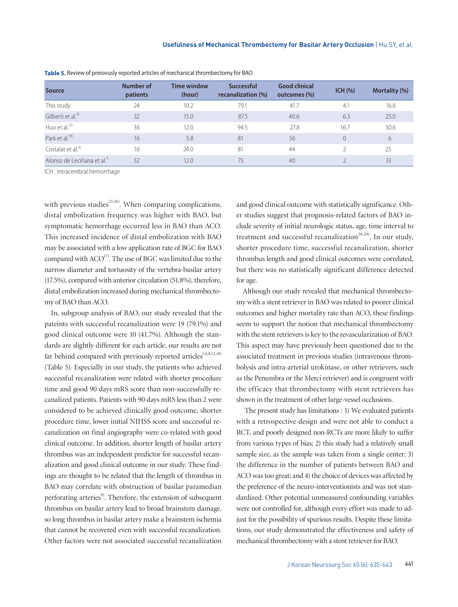| <b>Source</b>                           | Number of<br>patients | <b>Time window</b><br>(hour) | <b>Successful</b><br>recanalization (%) | <b>Good clinical</b><br>outcomes (%) | $ICH (\%)$ | Mortality (%) |
|-----------------------------------------|-----------------------|------------------------------|-----------------------------------------|--------------------------------------|------------|---------------|
| This study                              | 24                    | 10.2                         | 79.1                                    | 41.7                                 | 4.1        | 16.6          |
| Gilberti et al. <sup>8)</sup>           | 32                    | 15.0                         | 87.5                                    | 40.6                                 | 6.3        | 25.0          |
| Huo et al. $^{12)}$                     | 36                    | 12.0                         | 94.5                                    | 27.8                                 | 16.7       | 30.6          |
| Park et al. <sup>18)</sup>              | 16                    | 5.8                          | 81                                      | 56                                   | $\Omega$   | 6             |
| Costalat et al. <sup>6)</sup>           | 16                    | 74.0                         | 81                                      | 44                                   |            | 25            |
| Alonso de Leciñana et al. <sup>11</sup> | 52                    | 12.0                         | 75                                      | 40                                   |            | 33            |

**Table 5.** Review of preiovusly reported articles of mechanical thrombectomy for BAO

ICH : intracerebral hemorrhage

with previous studies<sup>23,26)</sup>. When comparing complications, distal embolization frequency was higher with BAO, but symptomatic hemorrhage occurred less in BAO than ACO. This increased incidence of distal embolization with BAO may be associated with a low application rate of BGC for BAO compared with  $ACO<sup>17</sup>$ . The use of BGC was limited due to the narrow diameter and tortuosity of the vertebra-basilar artery (17.5%), compared with anterior circulation (51.8%), therefore, distal embolization increased during mechanical thrombectomy of BAO than ACO.

In, subgroup analysis of BAO, our study revealed that the pateints with successful recanalization were 19 (79.1%) and good clinical outcome were 10 (41.7%). Although the standards are slightly different for each article, our results are not far behind compared with previously reported articles<sup>1,6,8,12,18)</sup> (Table 5). Especially in our study, the patients who achieved successful recanalization were related with shorter procedure time and good 90 days mRS score than non-successfully recanalized patients. Patients with 90 days mRS less than 2 were considered to be achieved clinically good outcome, shorter procedure time, lower initial NIHSS score and successful recanalization on final angiography were co-related with good clinical outcome. In addition, shorter length of basilar artery thrombus was an independent predictor for successful recanalization and good clinical outcome in our study. These findings are thought to be related that the length of thrombus in BAO may correlate with obstruction of basilar paramedian perforating arteries<sup>8</sup>. Therefore, the extension of subsequent thrombus on basilar artery lead to broad brainstem damage, so long thrombus in basilar artery make a brainstem ischemia that cannot be recovered even with successful recanalization. Other factors were not associated successful recanalization and good clinical outcome with statistically significance. Other studies suggest that prognosis-related factors of BAO include severity of initial neurologic status, age, time interval to treatment and successful recanalization<sup>28,29)</sup>. In our study, shorter procedure time, successful recanalization, shorter thrombus length and good clinical outcomes were correlated, but there was no statistically significant difference detected for age.

Although our study revealed that mechanical thrombectomy with a stent retriever in BAO was related to poorer clinical outcomes and higher mortality rate than ACO, these findings seem to support the notion that mechanical thrombectomy with the stent retrievers is key to the revascularization of BAO. This aspect may have previously been questioned due to the associated treatment in previous studies (intravenous thrombolysis and intra-arterial urokinase, or other retrievers, such as the Penumbra or the Merci retriever) and is congruent with the efficacy that thrombectomy with stent retrievers has shown in the treatment of other large-vessel occlusions.

 The present study has limitations : 1) We evaluated patients with a retrospective design and were not able to conduct a RCT, and poorly designed non-RCTs are more likely to suffer from various types of bias; 2) this study had a relatively small sample size, as the sample was taken from a single center; 3) the difference in the number of patients between BAO and ACO was too great; and 4) the choice of devices was affected by the preference of the neuro-interventionists and was not standardized. Other potential unmeasured confounding variables were not controlled for, although every effort was made to adjust for the possibility of spurious results. Despite these limitations, our study demonstrated the effectiveness and safety of mechanical thrombectomy with a stent retriever for BAO.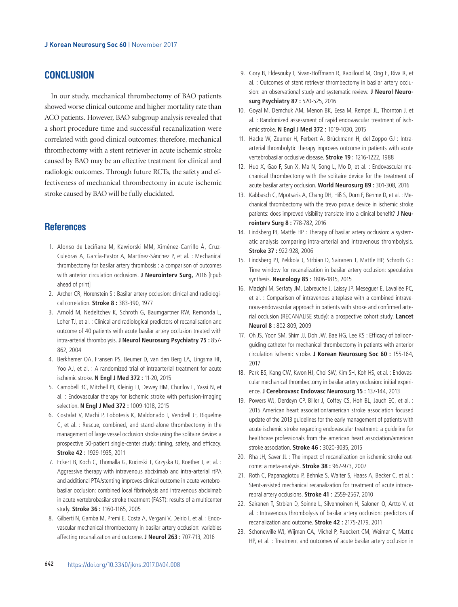# **CONCLUSION**

In our study, mechanical thrombectomy of BAO patients showed worse clinical outcome and higher mortality rate than ACO patients. However, BAO subgroup analysis revealed that a short procedure time and successful recanalization were correlated with good clinical outcomes; therefore, mechanical thrombectomy with a stent retriever in acute ischemic stroke caused by BAO may be an effective treatment for clinical and radiologic outcomes. Through future RCTs, the safety and effectiveness of mechanical thrombectomy in acute ischemic stroke caused by BAO will be fully elucidated.

## **References**

- 1. Alonso de Leciñana M, Kawiorski MM, Ximénez-Carrillo Á, Cruz-Culebras A, García-Pastor A, Martínez-Sánchez P, et al. : Mechanical thrombectomy for basilar artery thrombosis : a comparison of outcomes with anterior circulation occlusions. **J Neurointerv Surg,** 2016 [Epub ahead of print]
- 2. Archer CR, Horenstein S : Basilar artery occlusion: clinical and radiological correlation. **Stroke 8 :** 383-390, 1977
- 3. Arnold M, Nedeltchev K, Schroth G, Baumgartner RW, Remonda L, Loher TJ, et al. : Clinical and radiological predictors of recanalisation and outcome of 40 patients with acute basilar artery occlusion treated with intra-arterial thrombolysis. **J Neurol Neurosurg Psychiatry 75 :** 857- 862, 2004
- 4. Berkhemer OA, Fransen PS, Beumer D, van den Berg LA, Lingsma HF, Yoo AJ, et al. : A randomized trial of intraarterial treatment for acute ischemic stroke. **N Engl J Med 372 :** 11-20, 2015
- 5. Campbell BC, Mitchell PJ, Kleinig TJ, Dewey HM, Churilov L, Yassi N, et al. : Endovascular therapy for ischemic stroke with perfusion-imaging selection. **N Engl J Med 372 :** 1009-1018, 2015
- 6. Costalat V, Machi P, Lobotesis K, Maldonado I, Vendrell JF, Riquelme C, et al. : Rescue, combined, and stand-alone thrombectomy in the management of large vessel occlusion stroke using the solitaire device: a prospective 50-patient single-center study: timing, safety, and efficacy. **Stroke 42 :** 1929-1935, 2011
- 7. Eckert B, Koch C, Thomalla G, Kucinski T, Grzyska U, Roether J, et al. : Aggressive therapy with intravenous abciximab and intra-arterial rtPA and additional PTA/stenting improves clinical outcome in acute vertebrobasilar occlusion: combined local fibrinolysis and intravenous abciximab in acute vertebrobasilar stroke treatment (FAST): results of a multicenter study. **Stroke 36 :** 1160-1165, 2005
- 8. Gilberti N, Gamba M, Premi E, Costa A, Vergani V, Delrio I, et al. : Endovascular mechanical thrombectomy in basilar artery occlusion: variables affecting recanalization and outcome. **J Neurol 263 :** 707-713, 2016
- 9. Gory B, Eldesouky I, Sivan-Hoffmann R, Rabilloud M, Ong E, Riva R, et al. : Outcomes of stent retriever thrombectomy in basilar artery occlusion: an observational study and systematic review. **J Neurol Neurosurg Psychiatry 87 :** 520-525, 2016
- 10. Goyal M, Demchuk AM, Menon BK, Eesa M, Rempel JL, Thornton J, et al. : Randomized assessment of rapid endovascular treatment of ischemic stroke. **N Engl J Med 372 :** 1019-1030, 2015
- 11. Hacke W, Zeumer H, Ferbert A, Brückmann H, del Zoppo GJ : Intraarterial thrombolytic therapy improves outcome in patients with acute vertebrobasilar occlusive disease. **Stroke 19 :** 1216-1222, 1988
- 12. Huo X, Gao F, Sun X, Ma N, Song L, Mo D, et al. : Endovascular mechanical thrombectomy with the solitaire device for the treatment of acute basilar artery occlusion. **World Neurosurg 89 :** 301-308, 2016
- 13. Kabbasch C, Mpotsaris A, Chang DH, Hiß S, Dorn F, Behme D, et al. : Mechanical thrombectomy with the trevo provue device in ischemic stroke patients: does improved visibility translate into a clinical benefit? **J Neurointerv Surg 8 :** 778-782, 2016
- 14. Lindsberg PJ, Mattle HP : Therapy of basilar artery occlusion: a systematic analysis comparing intra-arterial and intravenous thrombolysis. **Stroke 37 :** 922-928, 2006
- 15. Lindsberg PJ, Pekkola J, Strbian D, Sairanen T, Mattle HP, Schroth G : Time window for recanalization in basilar artery occlusion: speculative synthesis. **Neurology 85 :** 1806-1815, 2015
- 16. Mazighi M, Serfaty JM, Labreuche J, Laissy JP, Meseguer E, Lavallée PC, et al. : Comparison of intravenous alteplase with a combined intravenous-endovascular approach in patients with stroke and confirmed arterial occlusion (RECANALISE study): a prospective cohort study. **Lancet Neurol 8 :** 802-809, 2009
- 17. Oh JS, Yoon SM, Shim JJ, Doh JW, Bae HG, Lee KS : Efficacy of balloonguiding catheter for mechanical thrombectomy in patients with anterior circulation ischemic stroke. **J Korean Neurosurg Soc 60 :** 155-164, 2017
- 18. Park BS, Kang CW, Kwon HJ, Choi SW, Kim SH, Koh HS, et al. : Endovascular mechanical thrombectomy in basilar artery occlusion: initial experience. **J Cerebrovasc Endovasc Neurosurg 15 :** 137-144, 2013
- 19. Powers WJ, Derdeyn CP, Biller J, Coffey CS, Hoh BL, Jauch EC, et al. : 2015 American heart association/american stroke association focused update of the 2013 guidelines for the early management of patients with acute ischemic stroke regarding endovascular treatment: a guideline for healthcare professionals from the american heart association/american stroke association. **Stroke 46 :** 3020-3035, 2015
- 20. Rha JH, Saver JL : The impact of recanalization on ischemic stroke outcome: a meta-analysis. **Stroke 38 :** 967-973, 2007
- 21. Roth C, Papanagiotou P, Behnke S, Walter S, Haass A, Becker C, et al. : Stent-assisted mechanical recanalization for treatment of acute intracerebral artery occlusions. **Stroke 41 :** 2559-2567, 2010
- 22. Sairanen T, Strbian D, Soinne L, Silvennoinen H, Salonen O, Artto V, et al. : Intravenous thrombolysis of basilar artery occlusion: predictors of recanalization and outcome. **Stroke 42 :** 2175-2179, 2011
- 23. Schonewille WJ, Wijman CA, Michel P, Rueckert CM, Weimar C, Mattle HP, et al. : Treatment and outcomes of acute basilar artery occlusion in